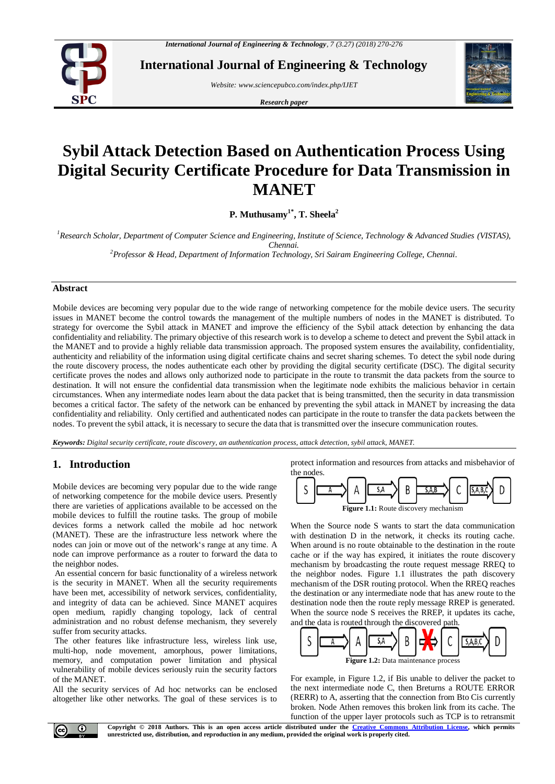

**International Journal of Engineering & Technology**

*Website: www.sciencepubco.com/index.php/IJET*

*Research paper*



# **Sybil Attack Detection Based on Authentication Process Using Digital Security Certificate Procedure for Data Transmission in MANET**

**P. Muthusamy1\* , T. Sheela<sup>2</sup>**

*<sup>1</sup>Research Scholar, Department of Computer Science and Engineering, Institute of Science, Technology & Advanced Studies (VISTAS), Chennai.*

*<sup>2</sup>Professor & Head, Department of Information Technology, Sri Sairam Engineering College, Chennai.*

#### **Abstract**

Mobile devices are becoming very popular due to the wide range of networking competence for the mobile device users. The security issues in MANET become the control towards the management of the multiple numbers of nodes in the MANET is distributed. To strategy for overcome the Sybil attack in MANET and improve the efficiency of the Sybil attack detection by enhancing the data confidentiality and reliability. The primary objective of this research work is to develop a scheme to detect and prevent the Sybil attack in the MANET and to provide a highly reliable data transmission approach. The proposed system ensures the availability, confidentiality, authenticity and reliability of the information using digital certificate chains and secret sharing schemes. To detect the sybil node during the route discovery process, the nodes authenticate each other by providing the digital security certificate (DSC). The digital security certificate proves the nodes and allows only authorized node to participate in the route to transmit the data packets from the source to destination. It will not ensure the confidential data transmission when the legitimate node exhibits the malicious behavior in certain circumstances. When any intermediate nodes learn about the data packet that is being transmitted, then the security in data transmission becomes a critical factor. The safety of the network can be enhanced by preventing the sybil attack in MANET by increasing the data confidentiality and reliability. Only certified and authenticated nodes can participate in the route to transfer the data packets between the nodes. To prevent the sybil attack, it is necessary to secure the data that is transmitted over the insecure communication routes.

*Keywords: Digital security certificate, route discovery, an authentication process, attack detection, sybil attack, MANET.*

# **1. Introduction**

Mobile devices are becoming very popular due to the wide range of networking competence for the mobile device users. Presently there are varieties of applications available to be accessed on the mobile devices to fulfill the routine tasks. The group of mobile devices forms a network called the mobile ad hoc network (MANET). These are the infrastructure less network where the nodes can join or move out of the network's range at any time. A node can improve performance as a router to forward the data to the neighbor nodes.

An essential concern for basic functionality of a wireless network is the security in MANET. When all the security requirements have been met, accessibility of network services, confidentiality, and integrity of data can be achieved. Since MANET acquires open medium, rapidly changing topology, lack of central administration and no robust defense mechanism, they severely suffer from security attacks.

The other features like infrastructure less, wireless link use, multi-hop, node movement, amorphous, power limitations, memory, and computation power limitation and physical vulnerability of mobile devices seriously ruin the security factors of the MANET.

All the security services of Ad hoc networks can be enclosed altogether like other networks. The goal of these services is to protect information and resources from attacks and misbehavior of the nodes



When the Source node S wants to start the data communication with destination D in the network, it checks its routing cache. When around is no route obtainable to the destination in the route cache or if the way has expired, it initiates the route discovery mechanism by broadcasting the route request message RREQ to the neighbor nodes. Figure 1.1 illustrates the path discovery mechanism of the DSR routing protocol. When the RREQ reaches the destination or any intermediate node that has anew route to the destination node then the route reply message RREP is generated. When the source node S receives the RREP, it updates its cache, and the data is routed through the discovered path.



For example, in Figure 1.2, if Bis unable to deliver the packet to the next intermediate node C, then Breturns a ROUTE ERROR (RERR) to A, asserting that the connection from Bto Cis currently broken. Node Athen removes this broken link from its cache. The function of the upper layer protocols such as TCP is to retransmit



**Copyright © 2018 Authors. This is an open access article distributed under the [Creative Commons Attribution License,](http://creativecommons.org/licenses/by/3.0/) which permits unrestricted use, distribution, and reproduction in any medium, provided the original work is properly cited.**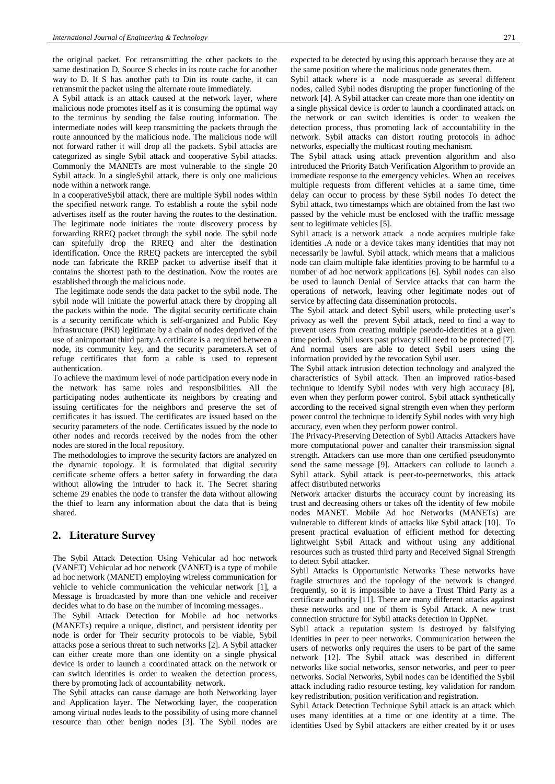the original packet. For retransmitting the other packets to the same destination D, Source S checks in its route cache for another way to D. If S has another path to Din its route cache, it can retransmit the packet using the alternate route immediately.

A Sybil attack is an attack caused at the network layer, where malicious node promotes itself as it is consuming the optimal way to the terminus by sending the false routing information. The intermediate nodes will keep transmitting the packets through the route announced by the malicious node. The malicious node will not forward rather it will drop all the packets. Sybil attacks are categorized as single Sybil attack and cooperative Sybil attacks. Commonly the MANETs are most vulnerable to the single 20 Sybil attack. In a singleSybil attack, there is only one malicious node within a network range.

In a cooperativeSybil attack, there are multiple Sybil nodes within the specified network range. To establish a route the sybil node advertises itself as the router having the routes to the destination. The legitimate node initiates the route discovery process by forwarding RREQ packet through the sybil node. The sybil node can spitefully drop the RREQ and alter the destination identification. Once the RREQ packets are intercepted the sybil node can fabricate the RREP packet to advertise itself that it contains the shortest path to the destination. Now the routes are established through the malicious node.

The legitimate node sends the data packet to the sybil node. The sybil node will initiate the powerful attack there by dropping all the packets within the node. The digital security certificate chain is a security certificate which is self-organized and Public Key Infrastructure (PKI) legitimate by a chain of nodes deprived of the use of animportant third party.A certificate is a required between a node, its community key, and the security parameters.A set of refuge certificates that form a cable is used to represent authentication.

To achieve the maximum level of node participation every node in the network has same roles and responsibilities. All the participating nodes authenticate its neighbors by creating and issuing certificates for the neighbors and preserve the set of certificates it has issued. The certificates are issued based on the security parameters of the node. Certificates issued by the node to other nodes and records received by the nodes from the other nodes are stored in the local repository.

The methodologies to improve the security factors are analyzed on the dynamic topology. It is formulated that digital security certificate scheme offers a better safety in forwarding the data without allowing the intruder to hack it. The Secret sharing scheme 29 enables the node to transfer the data without allowing the thief to learn any information about the data that is being shared.

# **2. Literature Survey**

The Sybil Attack Detection Using Vehicular ad hoc network (VANET) Vehicular ad hoc network (VANET) is a type of mobile ad hoc network (MANET) employing wireless communication for vehicle to vehicle communication the vehicular network [1], a Message is broadcasted by more than one vehicle and receiver decides what to do base on the number of incoming messages..

The Sybil Attack Detection for Mobile ad hoc networks (MANETs) require a unique, distinct, and persistent identity per node is order for Their security protocols to be viable, Sybil attacks pose a serious threat to such networks [2]. A Sybil attacker can either create more than one identity on a single physical device is order to launch a coordinated attack on the network or can switch identities is order to weaken the detection process, there by promoting lack of accountability network.

The Sybil attacks can cause damage are both Networking layer and Application layer. The Networking layer, the cooperation among virtual nodes leads to the possibility of using more channel resource than other benign nodes [3]. The Sybil nodes are expected to be detected by using this approach because they are at the same position where the malicious node generates them.

Sybil attack where is a node masquerade as several different nodes, called Sybil nodes disrupting the proper functioning of the network [4]. A Sybil attacker can create more than one identity on a single physical device is order to launch a coordinated attack on the network or can switch identities is order to weaken the detection process, thus promoting lack of accountability in the network. Sybil attacks can distort routing protocols in adhoc networks, especially the multicast routing mechanism.

The Sybil attack using attack prevention algorithm and also introduced the Priority Batch Verification Algorithm to provide an immediate response to the emergency vehicles. When an receives multiple requests from different vehicles at a same time, time delay can occur to process by these Sybil nodes To detect the Sybil attack, two timestamps which are obtained from the last two passed by the vehicle must be enclosed with the traffic message sent to legitimate vehicles [5].

Sybil attack is a network attack a node acquires multiple fake identities .A node or a device takes many identities that may not necessarily be lawful. Sybil attack, which means that a malicious node can claim multiple fake identities proving to be harmful to a number of ad hoc network applications [6]. Sybil nodes can also be used to launch Denial of Service attacks that can harm the operations of network, leaving other legitimate nodes out of service by affecting data dissemination protocols.

The Sybil attack and detect Sybil users, while protecting user's privacy as well the prevent Sybil attack, need to find a way to prevent users from creating multiple pseudo-identities at a given time period. Sybil users past privacy still need to be protected [7]. And normal users are able to detect Sybil users using the information provided by the revocation Sybil user.

The Sybil attack intrusion detection technology and analyzed the characteristics of Sybil attack. Then an improved ratios-based technique to identify Sybil nodes with very high accuracy [8], even when they perform power control. Sybil attack synthetically according to the received signal strength even when they perform power control the technique to identify Sybil nodes with very high accuracy, even when they perform power control.

The Privacy-Preserving Detection of Sybil Attacks Attackers have more computational power and canalter their transmission signal strength. Attackers can use more than one certified pseudonymto send the same message [9]. Attackers can collude to launch a Sybil attack. Sybil attack is peer-to-peernetworks, this attack affect distributed networks

Network attacker disturbs the accuracy count by increasing its trust and decreasing others or takes off the identity of few mobile nodes MANET. Mobile Ad hoc Networks (MANETs) are vulnerable to different kinds of attacks like Sybil attack [10]. To present practical evaluation of efficient method for detecting lightweight Sybil Attack and without using any additional resources such as trusted third party and Received Signal Strength to detect Sybil attacker.

Sybil Attacks is Opportunistic Networks These networks have fragile structures and the topology of the network is changed frequently, so it is impossible to have a Trust Third Party as a certificate authority [11]. There are many different attacks against these networks and one of them is Sybil Attack. A new trust connection structure for Sybil attacks detection in OppNet.

Sybil attack a reputation system is destroyed by falsifying identities in peer to peer networks. Communication between the users of networks only requires the users to be part of the same network [12]. The Sybil attack was described in different networks like social networks, sensor networks, and peer to peer networks. Social Networks, Sybil nodes can be identified the Sybil attack including radio resource testing, key validation for random key redistribution, position verification and registration.

Sybil Attack Detection Technique Sybil attack is an attack which uses many identities at a time or one identity at a time. The identities Used by Sybil attackers are either created by it or uses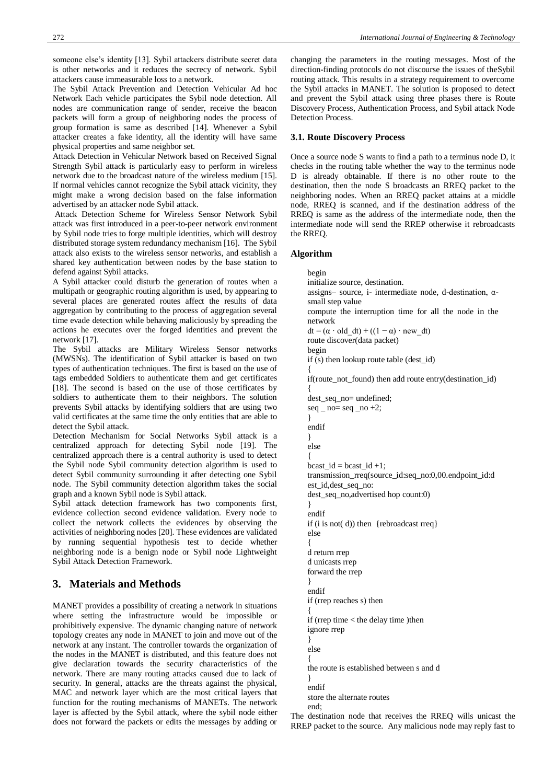The Sybil Attack Prevention and Detection Vehicular Ad hoc Network Each vehicle participates the Sybil node detection. All nodes are communication range of sender, receive the beacon packets will form a group of neighboring nodes the process of group formation is same as described [14]. Whenever a Sybil attacker creates a fake identity, all the identity will have same physical properties and same neighbor set.

Attack Detection in Vehicular Network based on Received Signal Strength Sybil attack is particularly easy to perform in wireless network due to the broadcast nature of the wireless medium [15]. If normal vehicles cannot recognize the Sybil attack vicinity, they might make a wrong decision based on the false information advertised by an attacker node Sybil attack.

Attack Detection Scheme for Wireless Sensor Network Sybil attack was first introduced in a peer-to-peer network environment by Sybil node tries to forge multiple identities, which will destroy distributed storage system redundancy mechanism [16]. The Sybil attack also exists to the wireless sensor networks, and establish a shared key authentication between nodes by the base station to defend against Sybil attacks.

A Sybil attacker could disturb the generation of routes when a multipath or geographic routing algorithm is used, by appearing to several places are generated routes affect the results of data aggregation by contributing to the process of aggregation several time evade detection while behaving maliciously by spreading the actions he executes over the forged identities and prevent the network [17].

The Sybil attacks are Military Wireless Sensor networks (MWSNs). The identification of Sybil attacker is based on two types of authentication techniques. The first is based on the use of tags embedded Soldiers to authenticate them and get certificates [18]. The second is based on the use of those certificates by soldiers to authenticate them to their neighbors. The solution prevents Sybil attacks by identifying soldiers that are using two valid certificates at the same time the only entities that are able to detect the Sybil attack.

Detection Mechanism for Social Networks Sybil attack is a centralized approach for detecting Sybil node [19]. The centralized approach there is a central authority is used to detect the Sybil node Sybil community detection algorithm is used to detect Sybil community surrounding it after detecting one Sybil node. The Sybil community detection algorithm takes the social graph and a known Sybil node is Sybil attack.

Sybil attack detection framework has two components first, evidence collection second evidence validation. Every node to collect the network collects the evidences by observing the activities of neighboring nodes [20]. These evidences are validated by running sequential hypothesis test to decide whether neighboring node is a benign node or Sybil node Lightweight Sybil Attack Detection Framework.

# **3. Materials and Methods**

MANET provides a possibility of creating a network in situations where setting the infrastructure would be impossible or prohibitively expensive. The dynamic changing nature of network topology creates any node in MANET to join and move out of the network at any instant. The controller towards the organization of the nodes in the MANET is distributed, and this feature does not give declaration towards the security characteristics of the network. There are many routing attacks caused due to lack of security. In general, attacks are the threats against the physical, MAC and network layer which are the most critical layers that function for the routing mechanisms of MANETs. The network layer is affected by the Sybil attack, where the sybil node either does not forward the packets or edits the messages by adding or

changing the parameters in the routing messages. Most of the direction-finding protocols do not discourse the issues of theSybil routing attack. This results in a strategy requirement to overcome the Sybil attacks in MANET. The solution is proposed to detect and prevent the Sybil attack using three phases there is Route Discovery Process, Authentication Process, and Sybil attack Node Detection Process.

# **3.1. Route Discovery Process**

Once a source node S wants to find a path to a terminus node D, it checks in the routing table whether the way to the terminus node D is already obtainable. If there is no other route to the destination, then the node S broadcasts an RREQ packet to the neighboring nodes. When an RREQ packet attains at a middle node, RREQ is scanned, and if the destination address of the RREQ is same as the address of the intermediate node, then the intermediate node will send the RREP otherwise it rebroadcasts the RREQ.

## **Algorithm**

begin initialize source, destination. assigns– source, i- intermediate node, d-destination, αsmall step value compute the interruption time for all the node in the network  $dt = (\alpha \cdot old \ dt) + ((1 - \alpha) \cdot new \ dt)$ route discover(data packet) begin if (s) then lookup route table (dest\_id) { if(route\_not\_found) then add route entry(destination\_id) { dest\_seq\_no= undefined;  $seq$  \_ no=  $seq$  \_ no +2; } endif } else { bcast\_id = bcast\_id +1; transmission\_rreq(source\_id:seq\_no:0,00.endpoint\_id:d est\_id,dest\_seq\_no: dest\_seq\_no,advertised hop count:0) } endif if (i is not( d)) then {rebroadcast rreq} else { d return rrep d unicasts rrep forward the rrep } endif if (rrep reaches s) then { if (rrep time < the delay time )then ignore rrep } else { the route is established between s and d } endif store the alternate routes end;

The destination node that receives the RREQ wills unicast the RREP packet to the source. Any malicious node may reply fast to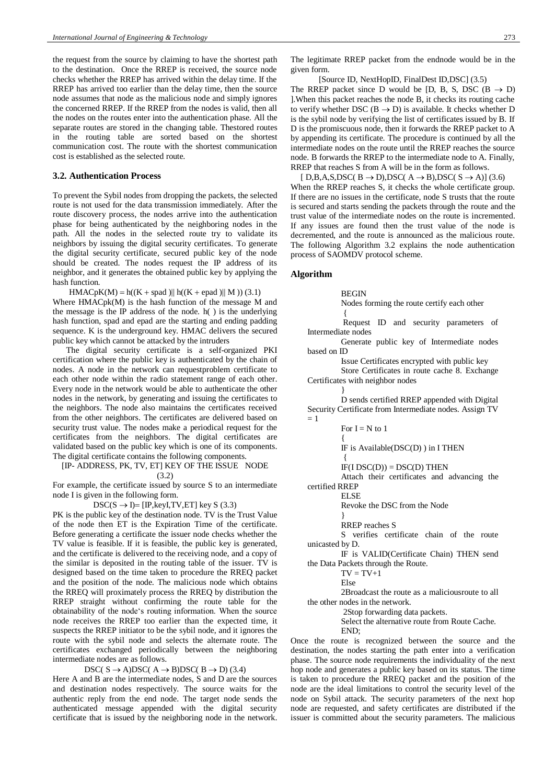the request from the source by claiming to have the shortest path to the destination. Once the RREP is received, the source node checks whether the RREP has arrived within the delay time. If the RREP has arrived too earlier than the delay time, then the source node assumes that node as the malicious node and simply ignores the concerned RREP. If the RREP from the nodes is valid, then all the nodes on the routes enter into the authentication phase. All the separate routes are stored in the changing table. Thestored routes in the routing table are sorted based on the shortest communication cost. The route with the shortest communication cost is established as the selected route.

#### **3.2. Authentication Process**

To prevent the Sybil nodes from dropping the packets, the selected route is not used for the data transmission immediately. After the route discovery process, the nodes arrive into the authentication phase for being authenticated by the neighboring nodes in the path. All the nodes in the selected route try to validate its neighbors by issuing the digital security certificates. To generate the digital security certificate, secured public key of the node should be created. The nodes request the IP address of its neighbor, and it generates the obtained public key by applying the hash function.

 $HMACpK(M) = h((K + spad) || h((K + epad) || M))$  (3.1) Where HMACpk(M) is the hash function of the message M and the message is the IP address of the node. h( ) is the underlying hash function, spad and epad are the starting and ending padding sequence. K is the underground key. HMAC delivers the secured public key which cannot be attacked by the intruders

The digital security certificate is a self-organized PKI certification where the public key is authenticated by the chain of nodes. A node in the network can requestproblem certificate to each other node within the radio statement range of each other. Every node in the network would be able to authenticate the other nodes in the network, by generating and issuing the certificates to the neighbors. The node also maintains the certificates received from the other neighbors. The certificates are delivered based on security trust value. The nodes make a periodical request for the certificates from the neighbors. The digital certificates are validated based on the public key which is one of its components. The digital certificate contains the following components.

[IP- ADDRESS, PK, TV, ET] KEY OF THE ISSUE NODE (3.2)

For example, the certificate issued by source S to an intermediate node I is given in the following form.

 $DSC(S \rightarrow I) = [IP, key I, TV, ET]$  key S (3.3)

PK is the public key of the destination node. TV is the Trust Value of the node then ET is the Expiration Time of the certificate. Before generating a certificate the issuer node checks whether the TV value is feasible. If it is feasible, the public key is generated, and the certificate is delivered to the receiving node, and a copy of the similar is deposited in the routing table of the issuer. TV is designed based on the time taken to procedure the RREQ packet and the position of the node. The malicious node which obtains the RREQ will proximately process the RREQ by distribution the RREP straight without confirming the route table for the obtainability of the node's routing information. When the source node receives the RREP too earlier than the expected time, it suspects the RREP initiator to be the sybil node, and it ignores the route with the sybil node and selects the alternate route. The certificates exchanged periodically between the neighboring intermediate nodes are as follows.

# DSC( $S \rightarrow A$ )DSC( $A \rightarrow B$ )DSC( $B \rightarrow D$ ) (3.4)

Here A and B are the intermediate nodes, S and D are the sources and destination nodes respectively. The source waits for the authentic reply from the end node. The target node sends the authenticated message appended with the digital security certificate that is issued by the neighboring node in the network. The legitimate RREP packet from the endnode would be in the given form.

[Source ID, NextHopID, FinalDest ID,DSC] (3.5) The RREP packet since D would be [D, B, S, DSC ( $B \rightarrow D$ ) ].When this packet reaches the node B, it checks its routing cache to verify whether DSC ( $B \rightarrow D$ ) is available. It checks whether D is the sybil node by verifying the list of certificates issued by B. If D is the promiscuous node, then it forwards the RREP packet to A by appending its certificate. The procedure is continued by all the intermediate nodes on the route until the RREP reaches the source node. B forwards the RREP to the intermediate node to A. Finally, RREP that reaches S from A will be in the form as follows.

 $[D,B,A,S,DSC(B \rightarrow D),DSC(A \rightarrow B),DSC(S \rightarrow A)]$  (3.6) When the RREP reaches S, it checks the whole certificate group. If there are no issues in the certificate, node S trusts that the route is secured and starts sending the packets through the route and the trust value of the intermediate nodes on the route is incremented. If any issues are found then the trust value of the node is decremented, and the route is announced as the malicious route. The following Algorithm 3.2 explains the node authentication process of SAOMDV protocol scheme.

#### **Algorithm**

**BEGIN** 

Nodes forming the route certify each other {

Request ID and security parameters of Intermediate nodes

Generate public key of Intermediate nodes based on ID

Issue Certificates encrypted with public key

Store Certificates in route cache 8. Exchange Certificates with neighbor nodes

} D sends certified RREP appended with Digital Security Certificate from Intermediate nodes. Assign TV  $= 1$ 

For  $I = N$  to 1

IF is Available(DSC(D) ) in I THEN

{  $IF(IDSC(D)) = DSC(D) THEN$ 

Attach their certificates and advancing the certified RREP

ELSE

{

Revoke the DSC from the Node

} RREP reaches S

S verifies certificate chain of the route unicasted by D.

IF is VALID(Certificate Chain) THEN send the Data Packets through the Route.

 $TV = TV+1$ 

Else

2Broadcast the route as a maliciousroute to all the other nodes in the network.

2Stop forwarding data packets.

Select the alternative route from Route Cache. END;

Once the route is recognized between the source and the destination, the nodes starting the path enter into a verification phase. The source node requirements the individuality of the next hop node and generates a public key based on its status. The time is taken to procedure the RREQ packet and the position of the node are the ideal limitations to control the security level of the node on Sybil attack. The security parameters of the next hop node are requested, and safety certificates are distributed if the issuer is committed about the security parameters. The malicious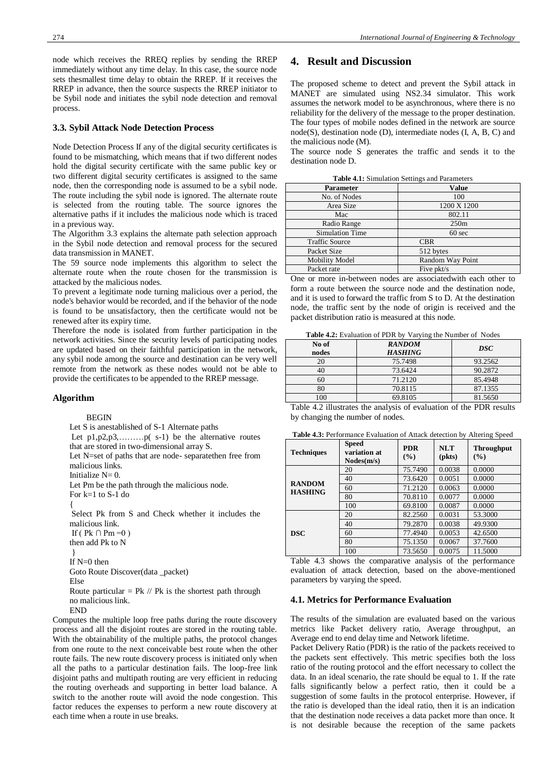node which receives the RREQ replies by sending the RREP immediately without any time delay. In this case, the source node sets thesmallest time delay to obtain the RREP. If it receives the RREP in advance, then the source suspects the RREP initiator to be Sybil node and initiates the sybil node detection and removal process.

## **3.3. Sybil Attack Node Detection Process**

Node Detection Process If any of the digital security certificates is found to be mismatching, which means that if two different nodes hold the digital security certificate with the same public key or two different digital security certificates is assigned to the same node, then the corresponding node is assumed to be a sybil node. The route including the sybil node is ignored. The alternate route is selected from the routing table. The source ignores the alternative paths if it includes the malicious node which is traced in a previous way.

The Algorithm 3.3 explains the alternate path selection approach in the Sybil node detection and removal process for the secured data transmission in MANET.

The 59 source node implements this algorithm to select the alternate route when the route chosen for the transmission is attacked by the malicious nodes.

To prevent a legitimate node turning malicious over a period, the node's behavior would be recorded, and if the behavior of the node is found to be unsatisfactory, then the certificate would not be renewed after its expiry time.

Therefore the node is isolated from further participation in the network activities. Since the security levels of participating nodes are updated based on their faithful participation in the network, any sybil node among the source and destination can be very well remote from the network as these nodes would not be able to provide the certificates to be appended to the RREP message.

#### **Algorithm**

#### BEGIN

Let S is anestablished of S-1 Alternate paths

Let p1,p2,p3,.........p(s-1) be the alternative routes that are stored in two-dimensional array S.

Let N=set of paths that are node- separatethen free from malicious links.

Initialize  $N=0$ .

Let Pm be the path through the malicious node.

For k=1 to S-1 do

{

Select Pk from S and Check whether it includes the malicious link.

If ( $Pk \cap Pm = 0$ )

then add Pk to N }

```
If N=0 then
```
Goto Route Discover(data \_packet)

Else

Route particular = Pk  $\text{/}$  Pk is the shortest path through no malicious link.

**END** 

Computes the multiple loop free paths during the route discovery process and all the disjoint routes are stored in the routing table. With the obtainability of the multiple paths, the protocol changes from one route to the next conceivable best route when the other route fails. The new route discovery process is initiated only when all the paths to a particular destination fails. The loop-free link disjoint paths and multipath routing are very efficient in reducing the routing overheads and supporting in better load balance. A switch to the another route will avoid the node congestion. This factor reduces the expenses to perform a new route discovery at each time when a route in use breaks.

### **4. Result and Discussion**

The proposed scheme to detect and prevent the Sybil attack in MANET are simulated using NS2.34 simulator. This work assumes the network model to be asynchronous, where there is no reliability for the delivery of the message to the proper destination. The four types of mobile nodes defined in the network are source node(S), destination node (D), intermediate nodes (I, A, B, C) and the malicious node (M).

The source node S generates the traffic and sends it to the destination node D.

**Table 4.1:** Simulation Settings and Parameters

| <b>Parameter</b>       | <b>Value</b>     |  |  |
|------------------------|------------------|--|--|
| No. of Nodes           | 100              |  |  |
| Area Size              | 1200 X 1200      |  |  |
| Mac                    | 802.11           |  |  |
| Radio Range            | 250m             |  |  |
| <b>Simulation Time</b> | $60 \text{ sec}$ |  |  |
| <b>Traffic Source</b>  | <b>CBR</b>       |  |  |
| Packet Size            | 512 bytes        |  |  |
| <b>Mobility Model</b>  | Random Way Point |  |  |
| Packet rate            | Five pkt/s       |  |  |

One or more in-between nodes are associatedwith each other to form a route between the source node and the destination node, and it is used to forward the traffic from S to D. At the destination node, the traffic sent by the node of origin is received and the packet distribution ratio is measured at this node.

**Table 4.2:** Evaluation of PDR by Varying the Number of Nodes

| No of | <b>RANDOM</b>  | <b>DSC</b> |  |
|-------|----------------|------------|--|
| nodes | <b>HASHING</b> |            |  |
| 20    | 75.7498        | 93.2562    |  |
|       | 73.6424        | 90.2872    |  |
| 60    | 71.2120        | 85.4948    |  |
| 80    | 70.8115        | 87.1355    |  |
| 100   | 69.8105        | 81.5650    |  |

Table 4.2 illustrates the analysis of evaluation of the PDR results by changing the number of nodes.

| <b>Table 4.3:</b> Performance Evaluation of Attack detection by Altering Speed |  |
|--------------------------------------------------------------------------------|--|
|--------------------------------------------------------------------------------|--|

| <b>Techniques</b>               | <b>Speed</b><br>variation at<br>Nodes(m/s) | <b>PDR</b><br>$($ %) | <b>NLT</b><br>$(\mathbf{pkts})$ | $\ldots$ . $\ldots$ . $\ldots$ . $\ldots$ . $\ldots$ . $\ldots$ . $\ldots$ . $\ldots$ . $\ldots$<br><b>Throughput</b><br>(%) |
|---------------------------------|--------------------------------------------|----------------------|---------------------------------|------------------------------------------------------------------------------------------------------------------------------|
| <b>RANDOM</b><br><b>HASHING</b> | 20                                         | 75.7490              | 0.0038                          | 0.0000                                                                                                                       |
|                                 | 40                                         | 73.6420              | 0.0051                          | 0.0000                                                                                                                       |
|                                 | 60                                         | 71.2120              | 0.0063                          | 0.0000                                                                                                                       |
|                                 | 80                                         | 70.8110              | 0.0077                          | 0.0000                                                                                                                       |
|                                 | 100                                        | 69.8100              | 0.0087                          | 0.0000                                                                                                                       |
| <b>DSC</b>                      | 20                                         | 82.2560              | 0.0031                          | 53.3000                                                                                                                      |
|                                 | 40                                         | 79.2870              | 0.0038                          | 49.9300                                                                                                                      |
|                                 | 60                                         | 77.4940              | 0.0053                          | 42.6500                                                                                                                      |
|                                 | 80                                         | 75.1350              | 0.0067                          | 37.7600                                                                                                                      |
|                                 | 100                                        | 73.5650              | 0.0075                          | 11.5000                                                                                                                      |

Table 4.3 shows the comparative analysis of the performance evaluation of attack detection, based on the above-mentioned parameters by varying the speed.

#### **4.1. Metrics for Performance Evaluation**

The results of the simulation are evaluated based on the various metrics like Packet delivery ratio, Average throughput, an Average end to end delay time and Network lifetime.

Packet Delivery Ratio (PDR) is the ratio of the packets received to the packets sent effectively. This metric specifies both the loss ratio of the routing protocol and the effort necessary to collect the data. In an ideal scenario, the rate should be equal to 1. If the rate falls significantly below a perfect ratio, then it could be a suggestion of some faults in the protocol enterprise. However, if the ratio is developed than the ideal ratio, then it is an indication that the destination node receives a data packet more than once. It is not desirable because the reception of the same packets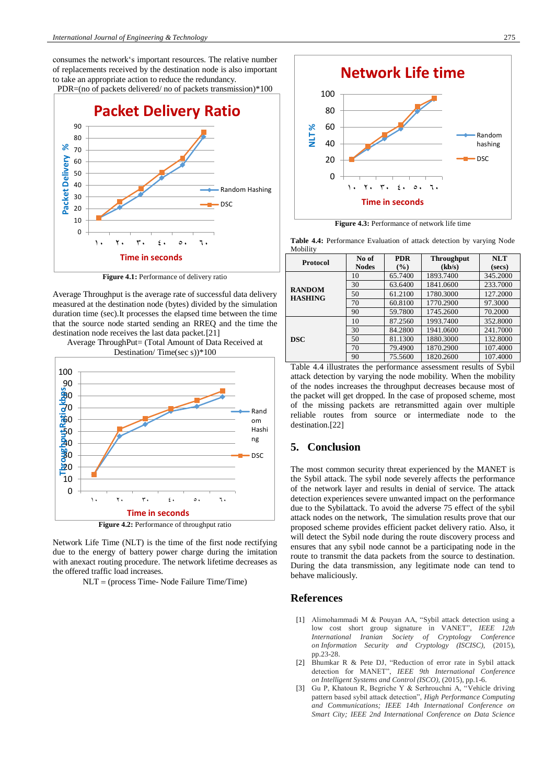consumes the network's important resources. The relative number of replacements received by the destination node is also important to take an appropriate action to reduce the redundancy.

PDR=(no of packets delivered/no of packets transmission) $*100$ 



**Figure 4.1:** Performance of delivery ratio

Average Throughput is the average rate of successful data delivery measured at the destination node (bytes) divided by the simulation duration time (sec).It processes the elapsed time between the time that the source node started sending an RREQ and the time the destination node receives the last data packet.[21]





Network Life Time (NLT) is the time of the first node rectifying due to the energy of battery power charge during the imitation with anexact routing procedure. The network lifetime decreases as the offered traffic load increases.

NLT (process Time- Node Failure Time/Time)



**Figure 4.3:** Performance of network life time

**Table 4.4:** Performance Evaluation of attack detection by varying Node Mobility

| <b>Protocol</b>                 | No of        | <b>PDR</b> | <b>Throughput</b> | <b>NLT</b> |
|---------------------------------|--------------|------------|-------------------|------------|
|                                 | <b>Nodes</b> | (%)        | (kb/s)            | (secs)     |
| <b>RANDOM</b><br><b>HASHING</b> | 10           | 65.7400    | 1893.7400         | 345.2000   |
|                                 | 30           | 63.6400    | 1841.0600         | 233.7000   |
|                                 | 50           | 61.2100    | 1780.3000         | 127.2000   |
|                                 | 70           | 60.8100    | 1770.2900         | 97.3000    |
|                                 | 90           | 59.7800    | 1745.2600         | 70.2000    |
| <b>DSC</b>                      | 10           | 87.2560    | 1993.7400         | 352.8000   |
|                                 | 30           | 84.2800    | 1941.0600         | 241.7000   |
|                                 | 50           | 81.1300    | 1880.3000         | 132.8000   |
|                                 | 70           | 79.4900    | 1870.2900         | 107.4000   |
|                                 | 90           | 75.5600    | 1820.2600         | 107.4000   |

Table 4.4 illustrates the performance assessment results of Sybil attack detection by varying the node mobility. When the mobility of the nodes increases the throughput decreases because most of the packet will get dropped. In the case of proposed scheme, most of the missing packets are retransmitted again over multiple reliable routes from source or intermediate node to the destination.[22]

# **5. Conclusion**

The most common security threat experienced by the MANET is the Sybil attack. The sybil node severely affects the performance of the network layer and results in denial of service. The attack detection experiences severe unwanted impact on the performance due to the Sybilattack. To avoid the adverse 75 effect of the sybil attack nodes on the network, The simulation results prove that our proposed scheme provides efficient packet delivery ratio. Also, it will detect the Sybil node during the route discovery process and ensures that any sybil node cannot be a participating node in the route to transmit the data packets from the source to destination. During the data transmission, any legitimate node can tend to behave maliciously.

## **References**

- [1] Alimohammadi M & Pouyan AA, "Sybil attack detection using a low cost short group signature in VANET", *IEEE 12th International Iranian Society of Cryptology Conference on Information Security and Cryptology (ISCISC),* (2015), pp.23-28.
- [2] Bhumkar R & Pete DJ, "Reduction of error rate in Sybil attack detection for MANET", *IEEE 9th International Conference on Intelligent Systems and Control (ISCO),* (2015), pp.1-6.
- [3] Gu P, Khatoun R, Begriche Y & Serhrouchni A, "Vehicle driving pattern based sybil attack detection", *High Performance Computing and Communications; IEEE 14th International Conference on Smart City; IEEE 2nd International Conference on Data Science*